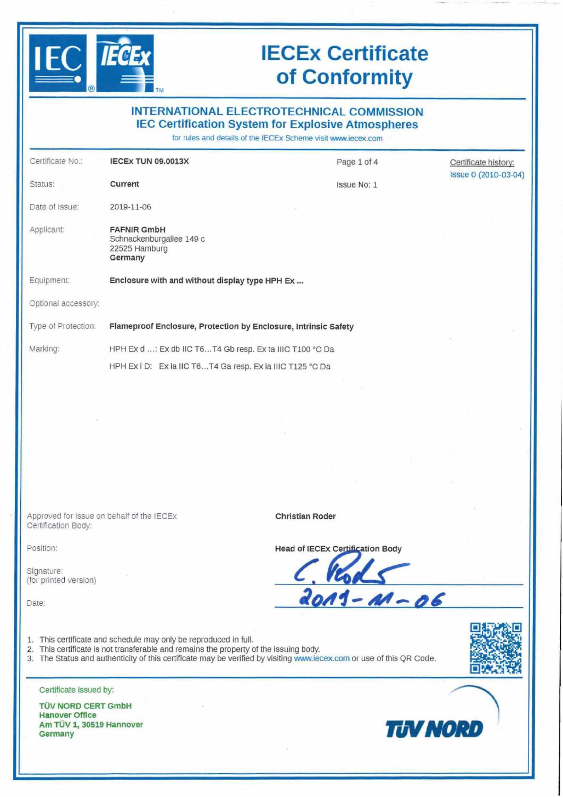

# **lECEx Certificate of Conformity**

| $\left( R\right)$<br><b>TM</b><br><b>INTERNATIONAL ELECTROTECHNICAL COMMISSION</b> |                                                                                                                                                           |                                                                                                                            |                      |
|------------------------------------------------------------------------------------|-----------------------------------------------------------------------------------------------------------------------------------------------------------|----------------------------------------------------------------------------------------------------------------------------|----------------------|
|                                                                                    |                                                                                                                                                           | <b>IEC Certification System for Explosive Atmospheres</b><br>for rules and details of the IECEx Scheme visit www.iecex.com |                      |
| Certificate No.:                                                                   | <b>IECEX TUN 09.0013X</b>                                                                                                                                 | Page 1 of 4                                                                                                                | Certificate history: |
| Status:                                                                            | Current                                                                                                                                                   | Issue No: 1                                                                                                                | Issue 0 (2010-03-04) |
| Date of Issue:                                                                     | 2019-11-06                                                                                                                                                |                                                                                                                            |                      |
| Applicant:                                                                         | <b>FAFNIR GmbH</b><br>Schnackenburgallee 149 c<br>22525 Hamburg<br>Germany                                                                                |                                                                                                                            |                      |
| Equipment:                                                                         | Enclosure with and without display type HPH Ex                                                                                                            |                                                                                                                            |                      |
| Optional accessory:                                                                |                                                                                                                                                           |                                                                                                                            |                      |
| Type of Protection:                                                                | Flameproof Enclosure, Protection by Enclosure, Intrinsic Safety                                                                                           |                                                                                                                            |                      |
| Marking:                                                                           | HPH Ex d : Ex db IIC T6T4 Gb resp. Ex ta IIIC T100 °C Da                                                                                                  |                                                                                                                            |                      |
|                                                                                    | HPH Ex i D: Ex ia IIC T6T4 Ga resp. Ex ia IIIC T125 °C Da                                                                                                 |                                                                                                                            |                      |
|                                                                                    |                                                                                                                                                           |                                                                                                                            |                      |
|                                                                                    |                                                                                                                                                           |                                                                                                                            |                      |
|                                                                                    |                                                                                                                                                           |                                                                                                                            |                      |
|                                                                                    |                                                                                                                                                           |                                                                                                                            |                      |
|                                                                                    |                                                                                                                                                           |                                                                                                                            |                      |
|                                                                                    |                                                                                                                                                           |                                                                                                                            |                      |
| Approved for issue on behalf of the IECEX<br>Certification Body:                   |                                                                                                                                                           | <b>Christian Roder</b>                                                                                                     |                      |
| Position:                                                                          |                                                                                                                                                           | <b>Head of IECEx Certification Body</b>                                                                                    |                      |
| Signature:<br>(for printed version)                                                |                                                                                                                                                           |                                                                                                                            |                      |
| Date:                                                                              |                                                                                                                                                           | $\frac{1.1481}{2011 - 41 - 06}$                                                                                            |                      |
|                                                                                    | 1. This certificate and schedule may only be reproduced in full.<br>2. This certificate is not transferable and remains the property of the issuing body. | 3. The Status and authenticity of this certificate may be verified by visiting www.iecex.com or use of this QR Code.       |                      |
| Certificate issued by:                                                             |                                                                                                                                                           |                                                                                                                            |                      |
| <b>TÜV NORD CERT GmbH</b>                                                          |                                                                                                                                                           |                                                                                                                            |                      |

**Germany TUVNORD**

**TÜV NORD CERT GmbH Manöver Office Am TÜV l, <sup>30519</sup> Hannover**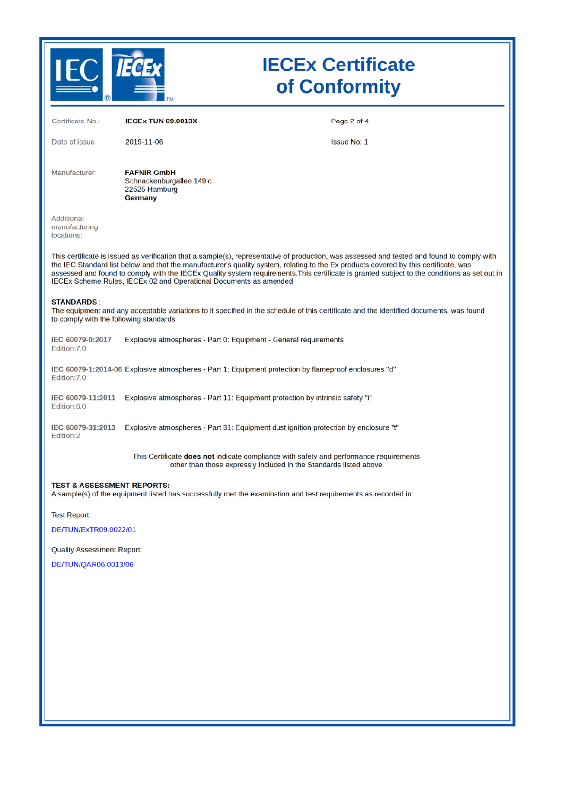

# **IECEx Certificate** of Conformity

| Certificate No.:                                            | <b>IECEX TUN 09.0013X</b>                                                                                                                                                                                                                                                                                                                                                                                                                                                                                | Page 2 of 4        |
|-------------------------------------------------------------|----------------------------------------------------------------------------------------------------------------------------------------------------------------------------------------------------------------------------------------------------------------------------------------------------------------------------------------------------------------------------------------------------------------------------------------------------------------------------------------------------------|--------------------|
| Date of issue:                                              | 2019-11-06                                                                                                                                                                                                                                                                                                                                                                                                                                                                                               | <b>Issue No: 1</b> |
| Manufacturer:                                               | <b>FAFNIR GmbH</b><br>Schnackenburgallee 149 c<br>22525 Hamburg<br>Germany                                                                                                                                                                                                                                                                                                                                                                                                                               |                    |
| Additional<br>manufacturing<br>locations:                   |                                                                                                                                                                                                                                                                                                                                                                                                                                                                                                          |                    |
|                                                             | This certificate is issued as verification that a sample(s), representative of production, was assessed and tested and found to comply with<br>the IEC Standard list below and that the manufacturer's quality system, relating to the Ex products covered by this certificate, was<br>assessed and found to comply with the IECEx Quality system requirements. This certificate is granted subject to the conditions as set out in<br>IECEx Scheme Rules, IECEx 02 and Operational Documents as amended |                    |
| <b>STANDARDS:</b><br>to comply with the following standards | The equipment and any acceptable variations to it specified in the schedule of this certificate and the identified documents, was found                                                                                                                                                                                                                                                                                                                                                                  |                    |
| IEC 60079-0:2017<br>Edition: 7.0                            | Explosive atmospheres - Part 0: Equipment - General requirements                                                                                                                                                                                                                                                                                                                                                                                                                                         |                    |
| Edition: 7.0                                                | IEC 60079-1:2014-06 Explosive atmospheres - Part 1: Equipment protection by flameproof enclosures "d"                                                                                                                                                                                                                                                                                                                                                                                                    |                    |
| IEC 60079-11:2011<br>Edition:6.0                            | Explosive atmospheres - Part 11: Equipment protection by intrinsic safety "i"                                                                                                                                                                                                                                                                                                                                                                                                                            |                    |
| IEC 60079-31:2013<br>Edition:2                              | Explosive atmospheres - Part 31: Equipment dust ignition protection by enclosure "t"                                                                                                                                                                                                                                                                                                                                                                                                                     |                    |
|                                                             | This Certificate does not indicate compliance with safety and performance requirements<br>other than those expressly included in the Standards listed above.                                                                                                                                                                                                                                                                                                                                             |                    |
| <b>TEST &amp; ASSESSMENT REPORTS:</b>                       | A sample(s) of the equipment listed has successfully met the examination and test requirements as recorded in:                                                                                                                                                                                                                                                                                                                                                                                           |                    |
| <b>Test Report:</b>                                         |                                                                                                                                                                                                                                                                                                                                                                                                                                                                                                          |                    |
| DE/TUN/ExTR09.0022/01                                       |                                                                                                                                                                                                                                                                                                                                                                                                                                                                                                          |                    |
| <b>Quality Assessment Report:</b>                           |                                                                                                                                                                                                                                                                                                                                                                                                                                                                                                          |                    |
| DE/TUN/QAR06.0013/06                                        |                                                                                                                                                                                                                                                                                                                                                                                                                                                                                                          |                    |
|                                                             |                                                                                                                                                                                                                                                                                                                                                                                                                                                                                                          |                    |
|                                                             |                                                                                                                                                                                                                                                                                                                                                                                                                                                                                                          |                    |
|                                                             |                                                                                                                                                                                                                                                                                                                                                                                                                                                                                                          |                    |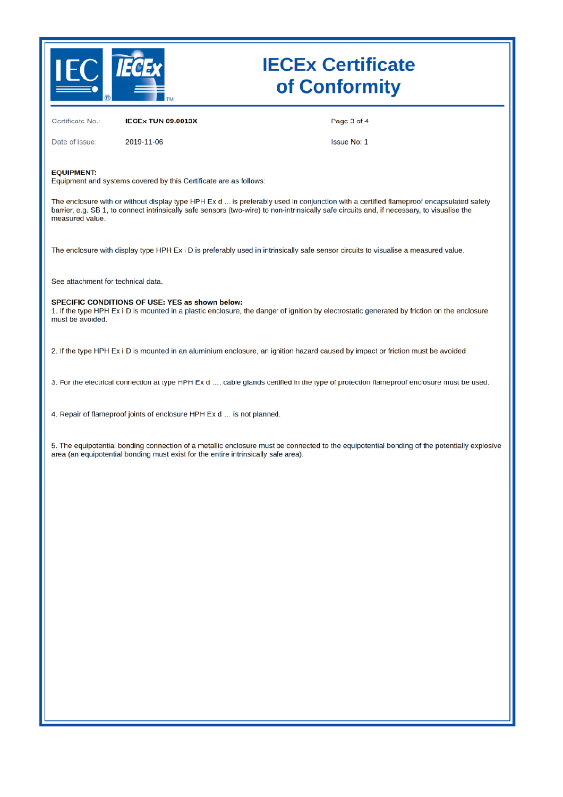

# **IECEx Certificate** of Conformity

**IECEX TUN 09.0013X** Certificate No.:

Page 3 of 4

Date of issue:

2019-11-06

**Issue No: 1** 

#### **EQUIPMENT:**

Equipment and systems covered by this Certificate are as follows:

The enclosure with or without display type HPH Ex d ... is preferably used in conjunction with a certified flameproof encapsulated safety barrier, e.g. SB 1, to connect intrinsically safe sensors (two-wire) to non-intrinsically safe circuits and, if necessary, to visualise the measured value.

The enclosure with display type HPH Ex i D is preferably used in intrinsically safe sensor circuits to visualise a measured value.

See attachment for technical data.

#### SPECIFIC CONDITIONS OF USE: YES as shown below:

1. If the type HPH Ex i D is mounted in a plastic enclosure, the danger of ignition by electrostatic generated by friction on the enclosure must be avoided.

2. If the type HPH Ex i D is mounted in an aluminium enclosure, an ignition hazard caused by impact or friction must be avoided.

3. For the electrical connection at type HPH Ex d ..., cable glands certified in the type of protection flameproof enclosure must be used.

4. Repair of flameproof joints of enclosure HPH Ex d ... is not planned.

5. The equipotential bonding connection of a metallic enclosure must be connected to the equipotential bonding of the potentially explosive area (an equipotential bonding must exist for the entire intrinsically safe area).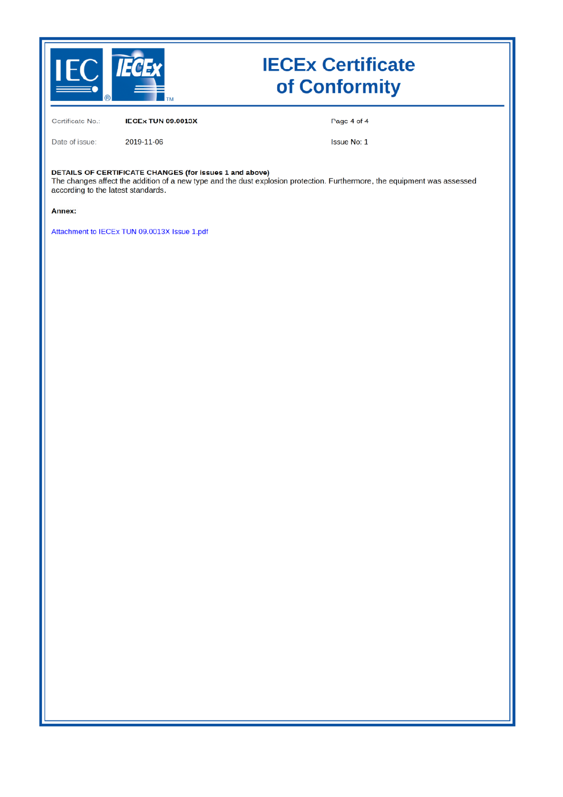

# **IECEx Certificate** of Conformity

Certificate No.: IECEx TUN 09.0013X Page 4 of 4

Date of issue:

Issue No: 1

DETAILS OF CERTIFICATE CHANGES (for issues 1 and above)

2019-11-06

The changes affect the addition of a new type and the dust explosion protection. Furthermore, the equipment was assessed according to the latest standards.

Annex:

Attachment to IECEx TUN 09.0013X Issue 1.pdf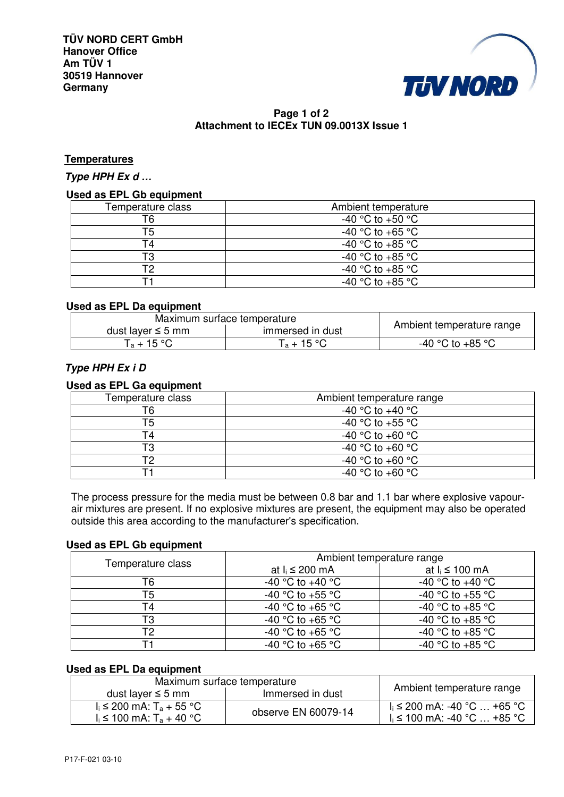**TÜV NORD CERT GmbH Hanover Office Am TÜV 1 30519 Hannover Germany** 



# **Page 1 of 2 Attachment to IECEx TUN 09.0013X Issue 1**

### **Temperatures**

**Type HPH Ex d** *…*

### **Used as EPL Gb equipment**

| Temperature class | Ambient temperature  |
|-------------------|----------------------|
| Г6                | -40 °C to +50 °C     |
|                   | -40 °C to +65 °C     |
|                   | -40 °C to +85 °C     |
| TЗ                | $-40$ °C to $+85$ °C |
| гο                | -40 °C to +85 °C     |
|                   | $-40$ °C to $+85$ °C |

#### **Used as EPL Da equipment**

| Maximum surface temperature                |               |                           |
|--------------------------------------------|---------------|---------------------------|
| dust layer $\leq$ 5 mm<br>immersed in dust |               | Ambient temperature range |
| $T_a + 15$ °C                              | $T_a + 15$ °C | -40 °C to +85 °C          |

## **Type HPH Ex i D**

#### **Used as EPL Ga equipment**

| Temperature class | Ambient temperature range |
|-------------------|---------------------------|
| T6                | -40 °C to +40 °C          |
|                   | -40 °C to +55 °C          |
|                   | -40 °C to +60 °C          |
| מד                | -40 °C to +60 °C          |
|                   | -40 °C to +60 °C          |
|                   | $-40$ °C to $+60$ °C      |

The process pressure for the media must be between 0.8 bar and 1.1 bar where explosive vapourair mixtures are present. If no explosive mixtures are present, the equipment may also be operated outside this area according to the manufacturer's specification.

## **Used as EPL Gb equipment**

|                   | Ambient temperature range |                      |
|-------------------|---------------------------|----------------------|
| Temperature class | at $I_i \leq 200$ mA      | at $I_i \leq 100$ mA |
|                   | -40 °C to +40 °C          | -40 °C to +40 °C     |
| T5                | -40 °C to +55 °C          | -40 °C to +55 °C     |
| Τ4                | -40 °C to +65 °C          | $-40$ °C to $+85$ °C |
| T3                | -40 °C to +65 °C          | -40 °C to +85 °C     |
| T2                | -40 °C to +65 °C          | -40 °C to +85 °C     |
|                   | -40 °C to +65 °C          | -40 °C to +85 °C     |

## **Used as EPL Da equipment**

| Maximum surface temperature            |                     |                                     |
|----------------------------------------|---------------------|-------------------------------------|
| dust layer $\leq$ 5 mm                 | Immersed in dust    | Ambient temperature range           |
| $I_i$ ≤ 200 mA: T <sub>a</sub> + 55 °C |                     | $I_i$ ≤ 200 mA: -40 °C … +65 °C     |
| $I_i$ ≤ 100 mA: T <sub>a</sub> + 40 °C | observe EN 60079-14 | $\vert$ i ≤ 100 mA: -40 °C … +85 °C |